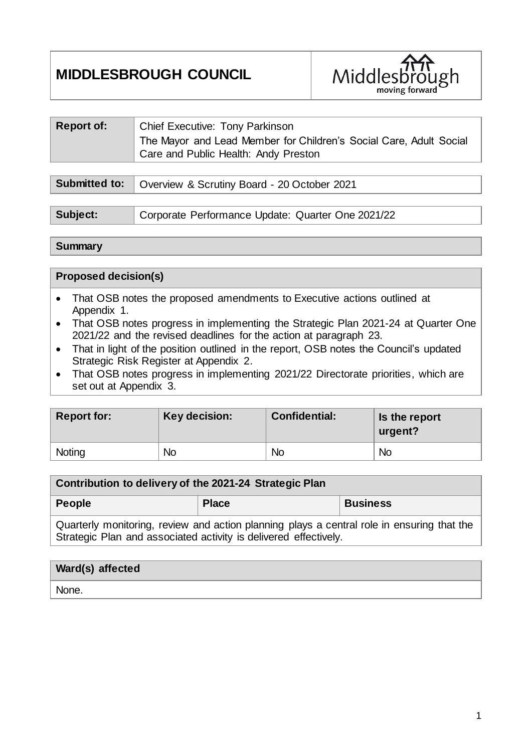# **MIDDLESBROUGH COUNCIL**



| <b>Report of:</b>    | <b>Chief Executive: Tony Parkinson</b><br>The Mayor and Lead Member for Children's Social Care, Adult Social<br>Care and Public Health: Andy Preston |
|----------------------|------------------------------------------------------------------------------------------------------------------------------------------------------|
|                      |                                                                                                                                                      |
| <b>Submitted to:</b> | Overview & Scrutiny Board - 20 October 2021                                                                                                          |

| Subject: | Corporate Performance Update: Quarter One 2021/22 |
|----------|---------------------------------------------------|

### **Summary**

#### **Proposed decision(s)**

- That OSB notes the proposed amendments to Executive actions outlined at Appendix 1.
- That OSB notes progress in implementing the Strategic Plan 2021-24 at Quarter One 2021/22 and the revised deadlines for the action at paragraph 23.
- That in light of the position outlined in the report, OSB notes the Council's updated Strategic Risk Register at Appendix 2.
- That OSB notes progress in implementing 2021/22 Directorate priorities, which are set out at Appendix 3.

| <b>Report for:</b> | Key decision: | <b>Confidential:</b> | Is the report<br>urgent? |
|--------------------|---------------|----------------------|--------------------------|
| Noting             | <b>No</b>     | No                   | <b>No</b>                |

| Contribution to delivery of the 2021-24 Strategic Plan                                                                                                         |              |                 |  |  |  |
|----------------------------------------------------------------------------------------------------------------------------------------------------------------|--------------|-----------------|--|--|--|
| People                                                                                                                                                         | <b>Place</b> | <b>Business</b> |  |  |  |
| Quarterly monitoring, review and action planning plays a central role in ensuring that the<br>Strategic Plan and associated activity is delivered effectively. |              |                 |  |  |  |

| <b>Ward(s)</b> affected |  |
|-------------------------|--|
| None.                   |  |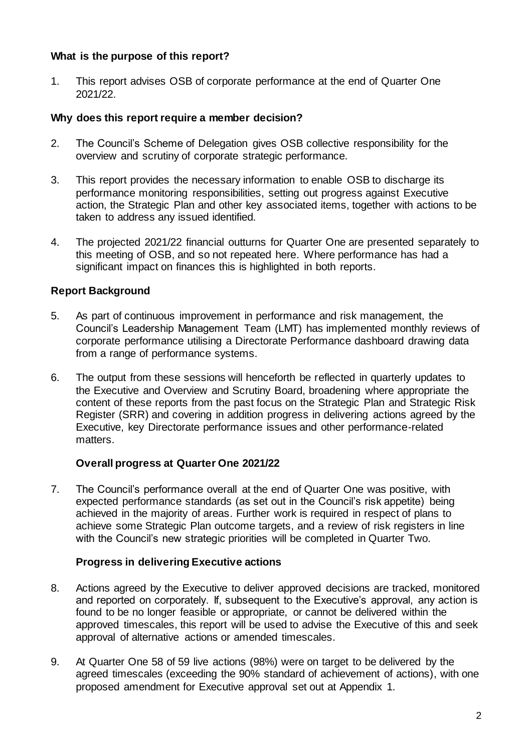### **What is the purpose of this report?**

1. This report advises OSB of corporate performance at the end of Quarter One 2021/22.

### **Why does this report require a member decision?**

- 2. The Council's Scheme of Delegation gives OSB collective responsibility for the overview and scrutiny of corporate strategic performance.
- 3. This report provides the necessary information to enable OSB to discharge its performance monitoring responsibilities, setting out progress against Executive action, the Strategic Plan and other key associated items, together with actions to be taken to address any issued identified.
- 4. The projected 2021/22 financial outturns for Quarter One are presented separately to this meeting of OSB, and so not repeated here. Where performance has had a significant impact on finances this is highlighted in both reports.

### **Report Background**

- 5. As part of continuous improvement in performance and risk management, the Council's Leadership Management Team (LMT) has implemented monthly reviews of corporate performance utilising a Directorate Performance dashboard drawing data from a range of performance systems.
- 6. The output from these sessions will henceforth be reflected in quarterly updates to the Executive and Overview and Scrutiny Board, broadening where appropriate the content of these reports from the past focus on the Strategic Plan and Strategic Risk Register (SRR) and covering in addition progress in delivering actions agreed by the Executive, key Directorate performance issues and other performance-related matters.

### **Overall progress at Quarter One 2021/22**

7. The Council's performance overall at the end of Quarter One was positive, with expected performance standards (as set out in the Council's risk appetite) being achieved in the majority of areas. Further work is required in respect of plans to achieve some Strategic Plan outcome targets, and a review of risk registers in line with the Council's new strategic priorities will be completed in Quarter Two.

### **Progress in delivering Executive actions**

- 8. Actions agreed by the Executive to deliver approved decisions are tracked, monitored and reported on corporately. If, subsequent to the Executive's approval, any action is found to be no longer feasible or appropriate, or cannot be delivered within the approved timescales, this report will be used to advise the Executive of this and seek approval of alternative actions or amended timescales.
- 9. At Quarter One 58 of 59 live actions (98%) were on target to be delivered by the agreed timescales (exceeding the 90% standard of achievement of actions), with one proposed amendment for Executive approval set out at Appendix 1.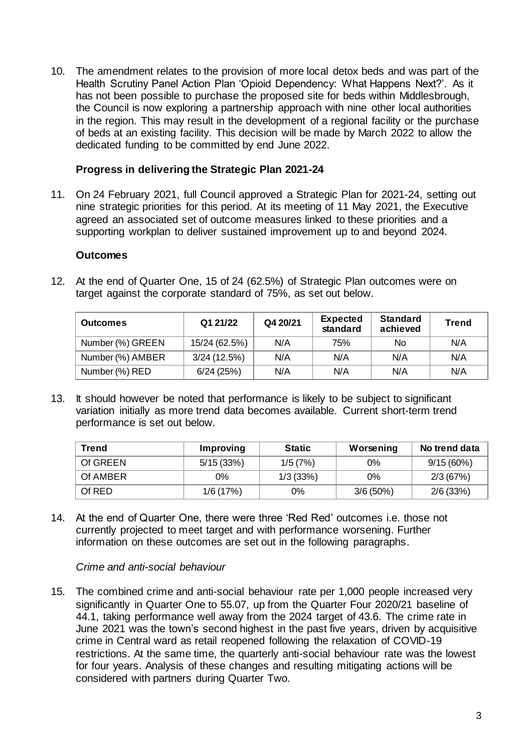10. The amendment relates to the provision of more local detox beds and was part of the Health Scrutiny Panel Action Plan 'Opioid Dependency: What Happens Next?'. As it has not been possible to purchase the proposed site for beds within Middlesbrough, the Council is now exploring a partnership approach with nine other local authorities in the region. This may result in the development of a regional facility or the purchase of beds at an existing facility. This decision will be made by March 2022 to allow the dedicated funding to be committed by end June 2022.

#### **Progress in delivering the Strategic Plan 2021-24**

11. On 24 February 2021, full Council approved a Strategic Plan for 2021-24, setting out nine strategic priorities for this period. At its meeting of 11 May 2021, the Executive agreed an associated set of outcome measures linked to these priorities and a supporting workplan to deliver sustained improvement up to and beyond 2024.

#### **Outcomes**

| 12. At the end of Quarter One, 15 of 24 (62.5%) of Strategic Plan outcomes were on |
|------------------------------------------------------------------------------------|
| target against the corporate standard of 75%, as set out below.                    |

| <b>Outcomes</b>  | Q1 21/22      | Q4 20/21 | <b>Expected</b><br>standard | <b>Standard</b><br>achieved | <b>Trend</b> |
|------------------|---------------|----------|-----------------------------|-----------------------------|--------------|
| Number (%) GREEN | 15/24 (62.5%) | N/A      | 75%                         | No.                         | N/A          |
| Number (%) AMBER | 3/24(12.5%)   | N/A      | N/A                         | N/A                         | N/A          |
| Number (%) RED   | 6/24(25%)     | N/A      | N/A                         | N/A                         | N/A          |

13. It should however be noted that performance is likely to be subject to significant variation initially as more trend data becomes available. Current short-term trend performance is set out below.

| <b>Trend</b> | Improving | <b>Static</b> | Worsening   | No trend data |
|--------------|-----------|---------------|-------------|---------------|
| Of GREEN     | 5/15(33%) | 1/5(7%)       | 0%          | 9/15(60%)     |
| Of AMBER     | $0\%$     | 1/3(33%)      | $0\%$       | 2/3(67%)      |
| Of RED       | 1/6(17%)  | 0%            | $3/6(50\%)$ | 2/6(33%)      |

14. At the end of Quarter One, there were three 'Red Red' outcomes i.e. those not currently projected to meet target and with performance worsening. Further information on these outcomes are set out in the following paragraphs.

### *Crime and anti-social behaviour*

15. The combined crime and anti-social behaviour rate per 1,000 people increased very significantly in Quarter One to 55.07, up from the Quarter Four 2020/21 baseline of 44.1, taking performance well away from the 2024 target of 43.6. The crime rate in June 2021 was the town's second highest in the past five years, driven by acquisitive crime in Central ward as retail reopened following the relaxation of COVID-19 restrictions. At the same time, the quarterly anti-social behaviour rate was the lowest for four years. Analysis of these changes and resulting mitigating actions will be considered with partners during Quarter Two.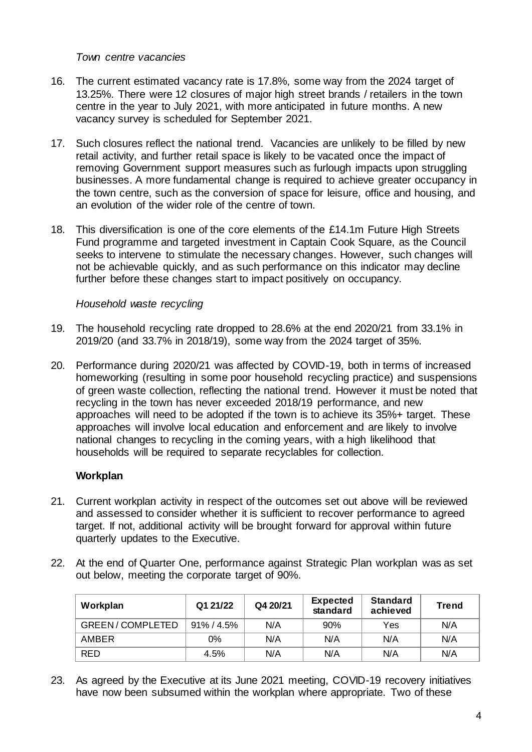### *Town centre vacancies*

- 16. The current estimated vacancy rate is 17.8%, some way from the 2024 target of 13.25%. There were 12 closures of major high street brands / retailers in the town centre in the year to July 2021, with more anticipated in future months. A new vacancy survey is scheduled for September 2021.
- 17. Such closures reflect the national trend. Vacancies are unlikely to be filled by new retail activity, and further retail space is likely to be vacated once the impact of removing Government support measures such as furlough impacts upon struggling businesses. A more fundamental change is required to achieve greater occupancy in the town centre, such as the conversion of space for leisure, office and housing, and an evolution of the wider role of the centre of town.
- 18. This diversification is one of the core elements of the £14.1m Future High Streets Fund programme and targeted investment in Captain Cook Square, as the Council seeks to intervene to stimulate the necessary changes. However, such changes will not be achievable quickly, and as such performance on this indicator may decline further before these changes start to impact positively on occupancy.

### *Household waste recycling*

- 19. The household recycling rate dropped to 28.6% at the end 2020/21 from 33.1% in 2019/20 (and 33.7% in 2018/19), some way from the 2024 target of 35%.
- 20. Performance during 2020/21 was affected by COVID-19, both in terms of increased homeworking (resulting in some poor household recycling practice) and suspensions of green waste collection, reflecting the national trend. However it must be noted that recycling in the town has never exceeded 2018/19 performance, and new approaches will need to be adopted if the town is to achieve its 35%+ target. These approaches will involve local education and enforcement and are likely to involve national changes to recycling in the coming years, with a high likelihood that households will be required to separate recyclables for collection.

### **Workplan**

- 21. Current workplan activity in respect of the outcomes set out above will be reviewed and assessed to consider whether it is sufficient to recover performance to agreed target. If not, additional activity will be brought forward for approval within future quarterly updates to the Executive.
- 22. At the end of Quarter One, performance against Strategic Plan workplan was as set out below, meeting the corporate target of 90%.

| Workplan               | Q1 21/22       | Q4 20/21 | <b>Expected</b><br>standard | <b>Standard</b><br>achieved | <b>Trend</b> |
|------------------------|----------------|----------|-----------------------------|-----------------------------|--------------|
| <b>GREEN/COMPLETED</b> | $91\% / 4.5\%$ | N/A      | 90%                         | Yes                         | N/A          |
| AMBER                  | 0%             | N/A      | N/A                         | N/A                         | N/A          |
| <b>RED</b>             | 4.5%           | N/A      | N/A                         | N/A                         | N/A          |

23. As agreed by the Executive at its June 2021 meeting, COVID-19 recovery initiatives have now been subsumed within the workplan where appropriate. Two of these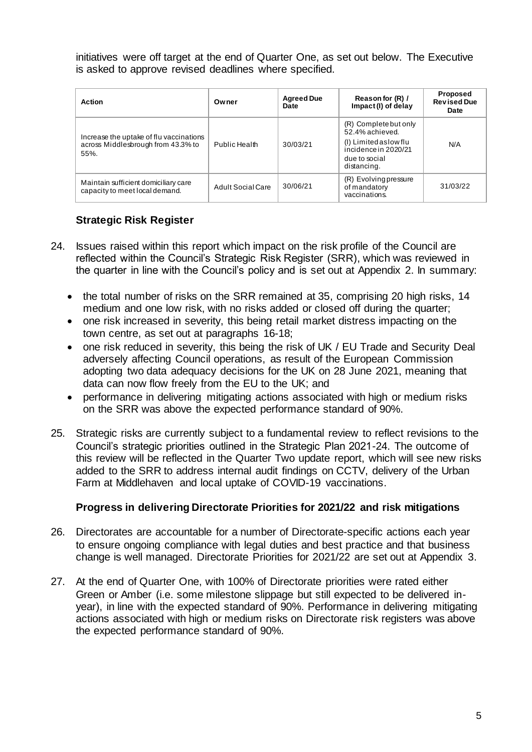initiatives were off target at the end of Quarter One, as set out below. The Executive is asked to approve revised deadlines where specified.

| Action                                                                                | Owner             | <b>Agreed Due</b><br>Date | Reason for (R) /<br>Impact (I) of delay                                                                                    | Proposed<br><b>Revised Due</b><br>Date |
|---------------------------------------------------------------------------------------|-------------------|---------------------------|----------------------------------------------------------------------------------------------------------------------------|----------------------------------------|
| Increase the uptake of flu vaccinations<br>across Middlesbrough from 43.3% to<br>55%. | Public Health     | 30/03/21                  | (R) Complete but only<br>52.4% achieved.<br>(I) Limited as low flu<br>incidence in 2020/21<br>due to social<br>distancing. | N/A                                    |
| Maintain sufficient domiciliary care<br>capacity to meet local demand.                | Adult Social Care | 30/06/21                  | (R) Evolving pressure<br>of mandatory<br>vaccinations.                                                                     | 31/03/22                               |

## **Strategic Risk Register**

- 24. Issues raised within this report which impact on the risk profile of the Council are reflected within the Council's Strategic Risk Register (SRR), which was reviewed in the quarter in line with the Council's policy and is set out at Appendix 2. In summary:
	- the total number of risks on the SRR remained at 35, comprising 20 high risks, 14 medium and one low risk, with no risks added or closed off during the quarter;
	- one risk increased in severity, this being retail market distress impacting on the town centre, as set out at paragraphs 16-18;
	- one risk reduced in severity, this being the risk of UK / EU Trade and Security Deal adversely affecting Council operations, as result of the European Commission adopting two data adequacy decisions for the UK on 28 June 2021, meaning that data can now flow freely from the EU to the UK; and
	- performance in delivering mitigating actions associated with high or medium risks on the SRR was above the expected performance standard of 90%.
- 25. Strategic risks are currently subject to a fundamental review to reflect revisions to the Council's strategic priorities outlined in the Strategic Plan 2021-24. The outcome of this review will be reflected in the Quarter Two update report, which will see new risks added to the SRR to address internal audit findings on CCTV, delivery of the Urban Farm at Middlehaven and local uptake of COVID-19 vaccinations.

## **Progress in delivering Directorate Priorities for 2021/22 and risk mitigations**

- 26. Directorates are accountable for a number of Directorate-specific actions each year to ensure ongoing compliance with legal duties and best practice and that business change is well managed. Directorate Priorities for 2021/22 are set out at Appendix 3.
- 27. At the end of Quarter One, with 100% of Directorate priorities were rated either Green or Amber (i.e. some milestone slippage but still expected to be delivered inyear), in line with the expected standard of 90%. Performance in delivering mitigating actions associated with high or medium risks on Directorate risk registers was above the expected performance standard of 90%.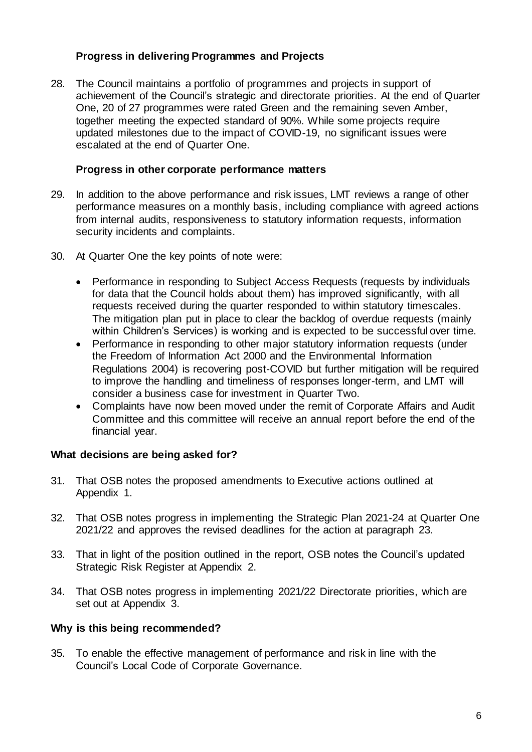## **Progress in delivering Programmes and Projects**

28. The Council maintains a portfolio of programmes and projects in support of achievement of the Council's strategic and directorate priorities. At the end of Quarter One, 20 of 27 programmes were rated Green and the remaining seven Amber, together meeting the expected standard of 90%. While some projects require updated milestones due to the impact of COVID-19, no significant issues were escalated at the end of Quarter One.

#### **Progress in other corporate performance matters**

- 29. In addition to the above performance and risk issues, LMT reviews a range of other performance measures on a monthly basis, including compliance with agreed actions from internal audits, responsiveness to statutory information requests, information security incidents and complaints.
- 30. At Quarter One the key points of note were:
	- Performance in responding to Subject Access Requests (requests by individuals for data that the Council holds about them) has improved significantly, with all requests received during the quarter responded to within statutory timescales. The mitigation plan put in place to clear the backlog of overdue requests (mainly within Children's Services) is working and is expected to be successful over time.
	- Performance in responding to other major statutory information requests (under the Freedom of Information Act 2000 and the Environmental Information Regulations 2004) is recovering post-COVID but further mitigation will be required to improve the handling and timeliness of responses longer-term, and LMT will consider a business case for investment in Quarter Two.
	- Complaints have now been moved under the remit of Corporate Affairs and Audit Committee and this committee will receive an annual report before the end of the financial year.

### **What decisions are being asked for?**

- 31. That OSB notes the proposed amendments to Executive actions outlined at Appendix 1.
- 32. That OSB notes progress in implementing the Strategic Plan 2021-24 at Quarter One 2021/22 and approves the revised deadlines for the action at paragraph 23.
- 33. That in light of the position outlined in the report, OSB notes the Council's updated Strategic Risk Register at Appendix 2.
- 34. That OSB notes progress in implementing 2021/22 Directorate priorities, which are set out at Appendix 3.

### **Why is this being recommended?**

35. To enable the effective management of performance and risk in line with the Council's Local Code of Corporate Governance.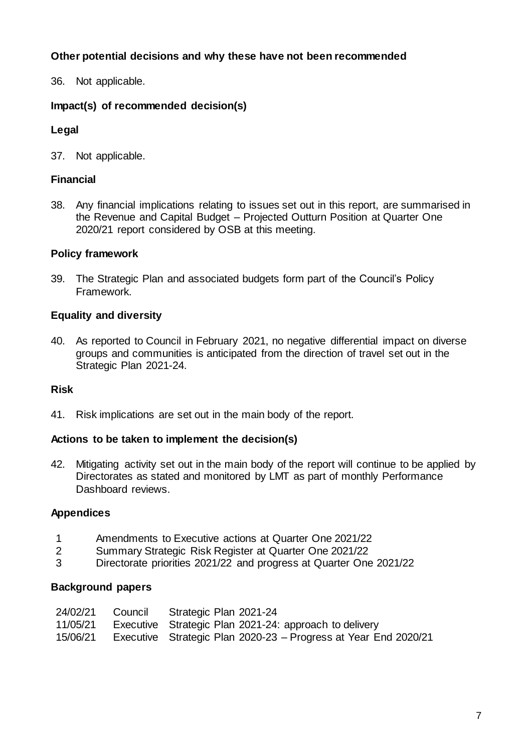## **Other potential decisions and why these have not been recommended**

36. Not applicable.

## **Impact(s) of recommended decision(s)**

## **Legal**

37. Not applicable.

## **Financial**

38. Any financial implications relating to issues set out in this report, are summarised in the Revenue and Capital Budget – Projected Outturn Position at Quarter One 2020/21 report considered by OSB at this meeting.

### **Policy framework**

39. The Strategic Plan and associated budgets form part of the Council's Policy Framework.

### **Equality and diversity**

40. As reported to Council in February 2021, no negative differential impact on diverse groups and communities is anticipated from the direction of travel set out in the Strategic Plan 2021-24.

### **Risk**

41. Risk implications are set out in the main body of the report.

### **Actions to be taken to implement the decision(s)**

42. Mitigating activity set out in the main body of the report will continue to be applied by Directorates as stated and monitored by LMT as part of monthly Performance Dashboard reviews.

### **Appendices**

- 1 Amendments to Executive actions at Quarter One 2021/22
- 2 Summary Strategic Risk Register at Quarter One 2021/22
- 3 Directorate priorities 2021/22 and progress at Quarter One 2021/22

### **Background papers**

|          | 24/02/21 Council Strategic Plan 2021-24                         |
|----------|-----------------------------------------------------------------|
| 11/05/21 | Executive Strategic Plan 2021-24: approach to delivery          |
| 15/06/21 | Executive Strategic Plan 2020-23 – Progress at Year End 2020/21 |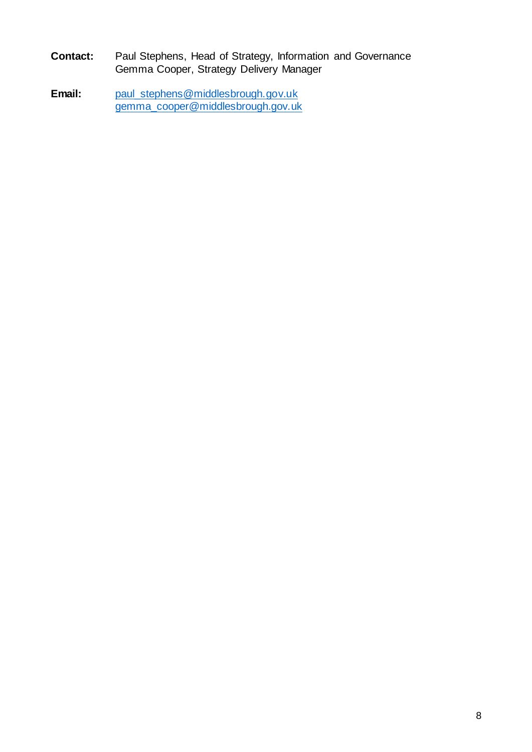- **Contact:** Paul Stephens, Head of Strategy, Information and Governance Gemma Cooper, Strategy Delivery Manager
- **Email:** [paul\\_stephens@middlesbrough.gov.uk](mailto:paul_stephens@middlesbrough.gov.uk) [gemma\\_cooper@middlesbrough.gov.uk](mailto:gemma_cooper@middlesbrough.gov.uk)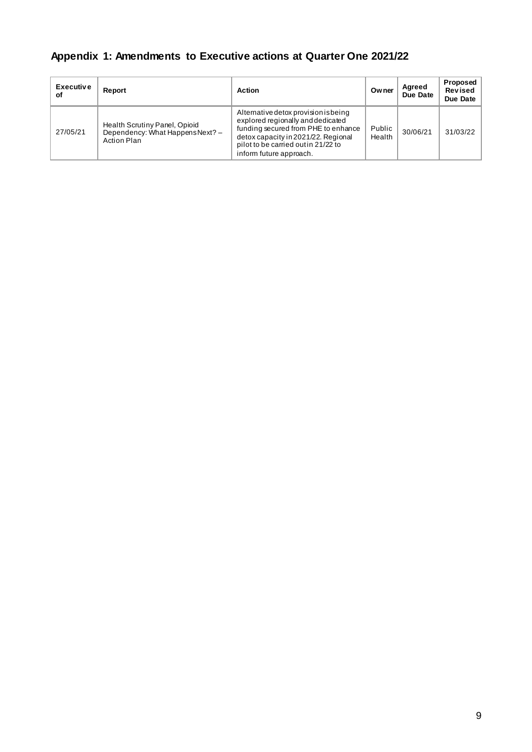## **Appendix 1: Amendments to Executive actions at Quarter One 2021/22**

| <b>Executive</b><br>Οf | Report                                                                                  | <b>Action</b>                                                                                                                                                                                                             | Owner            | Agreed<br>Due Date | Proposed<br>Revised<br>Due Date |
|------------------------|-----------------------------------------------------------------------------------------|---------------------------------------------------------------------------------------------------------------------------------------------------------------------------------------------------------------------------|------------------|--------------------|---------------------------------|
| 27/05/21               | Health Scrutiny Panel, Opioid<br>Dependency: What Happens Next? -<br><b>Action Plan</b> | Alternative detox provision is being<br>explored regionally and dedicated<br>funding secured from PHE to enhance<br>detox capacity in 2021/22. Regional<br>pilot to be carried out in 21/22 to<br>inform future approach. | Public<br>Health | 30/06/21           | 31/03/22                        |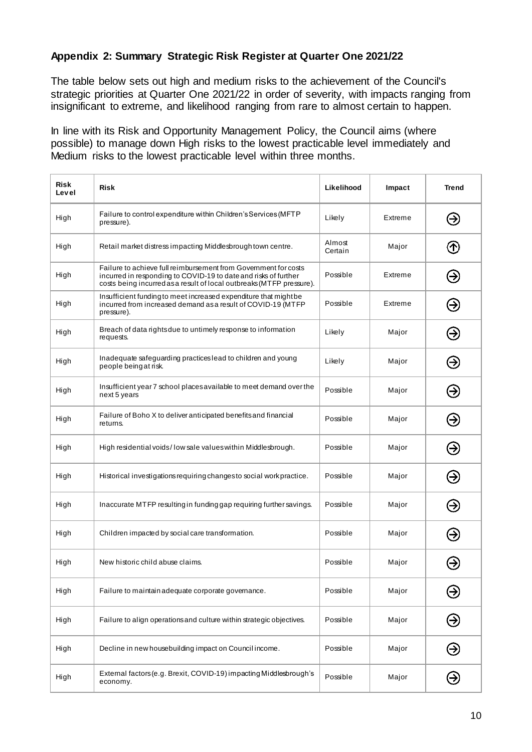## **Appendix 2: Summary Strategic Risk Register at Quarter One 2021/22**

The table below sets out high and medium risks to the achievement of the Council's strategic priorities at Quarter One 2021/22 in order of severity, with impacts ranging from insignificant to extreme, and likelihood ranging from rare to almost certain to happen.

In line with its Risk and Opportunity Management Policy, the Council aims (where possible) to manage down High risks to the lowest practicable level immediately and Medium risks to the lowest practicable level within three months.

| Risk<br>Level | <b>Risk</b>                                                                                                                                                                                                | Likelihood        | Impact  | <b>Trend</b>  |
|---------------|------------------------------------------------------------------------------------------------------------------------------------------------------------------------------------------------------------|-------------------|---------|---------------|
| High          | Failure to control expenditure within Children's Services (MFTP<br>pressure).                                                                                                                              | Likely            | Extreme | ❸             |
| High          | Retail market distress impacting Middlesbrough town centre.                                                                                                                                                | Almost<br>Certain | Major   | ➀             |
| High          | Failure to achieve full reimbursement from Government for costs<br>incurred in responding to COVID-19 to date and risks of further<br>costs being incurred as a result of local outbreaks (MTFP pressure). | Possible          | Extreme | ⊖             |
| High          | Insufficient funding to meet increased expenditure that might be<br>incurred from increased demand as a result of COVID-19 (MTFP<br>pressure).                                                             | Possible          | Extreme | Э             |
| High          | Breach of data rights due to untimely response to information<br>requests.                                                                                                                                 | Likely            | Major   | ❸             |
| High          | Inadequate safeguarding practices lead to children and young<br>people being at risk.                                                                                                                      | Likely            | Major   | ⊖             |
| High          | Insufficient year 7 school places available to meet demand over the<br>next 5 years                                                                                                                        | Possible          | Major   | Э             |
| High          | Failure of Boho X to deliver anticipated benefits and financial<br>returns.                                                                                                                                | Possible          | Major   | Э             |
| High          | High residential voids/low sale values within Middlesbrough.                                                                                                                                               | Possible          | Major   | ⊖             |
| High          | Historical investigations requiring changes to social work practice.                                                                                                                                       | Possible          | Major   | Э             |
| High          | Inaccurate MTFP resulting in funding gap requiring further savings.                                                                                                                                        | Possible          | Major   | Э             |
| High          | Children impacted by social care transformation.                                                                                                                                                           | Possible          | Major   | ⊖             |
| High          | New historic child abuse claims.                                                                                                                                                                           | Possible          | Major   |               |
| High          | Failure to maintain adequate corporate governance.                                                                                                                                                         | Possible          | Major   | Э             |
| High          | Failure to align operations and culture within strategic objectives.                                                                                                                                       | Possible          | Major   | $\bm{\Theta}$ |
| High          | Decline in new housebuilding impact on Council income.                                                                                                                                                     | Possible          | Major   | $\Theta$      |
| High          | External factors (e.g. Brexit, COVID-19) impacting Middlesbrough's<br>economy.                                                                                                                             | Possible          | Major   | ⊛             |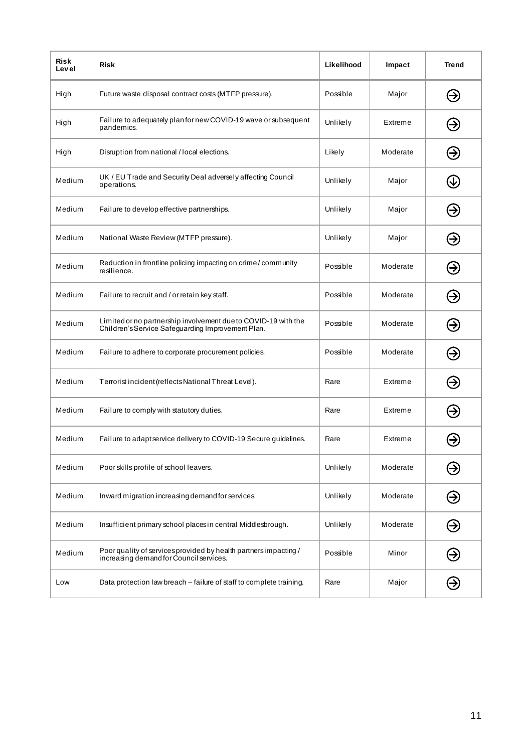| Risk<br>Level | Risk                                                                                                                | Likelihood | Impact   | <b>Trend</b>  |
|---------------|---------------------------------------------------------------------------------------------------------------------|------------|----------|---------------|
| High          | Future waste disposal contract costs (MTFP pressure).                                                               | Possible   | Major    | Э             |
| High          | Failure to adequately plan for new COVID-19 wave or subsequent<br>pandemics.                                        | Unlikely   | Extreme  | ❸             |
| High          | Disruption from national / local elections.                                                                         | Likely     | Moderate | ⊖             |
| Medium        | UK / EU Trade and Security Deal adversely affecting Council<br>operations.                                          | Unlikely   | Major    | V             |
| Medium        | Failure to develop effective partnerships.                                                                          | Unlikely   | Major    | ❸             |
| Medium        | National Waste Review (MTFP pressure).                                                                              | Unlikely   | Major    | Э             |
| Medium        | Reduction in frontline policing impacting on crime/community<br>resilience.                                         | Possible   | Moderate | ⊖             |
| Medium        | Failure to recruit and / or retain key staff.                                                                       | Possible   | Moderate | ❸             |
| Medium        | Limited or no partnership involvement due to COVID-19 with the<br>Children's Service Safeguarding Improvement Plan. | Possible   | Moderate | ❸             |
| Medium        | Failure to adhere to corporate procurement policies.                                                                | Possible   | Moderate | ⊖             |
| Medium        | Terrorist incident (reflects National Threat Level).                                                                | Rare       | Extreme  | ❸             |
| Medium        | Failure to comply with statutory duties.                                                                            | Rare       | Extreme  | ⊖             |
| Medium        | Failure to adapt service delivery to COVID-19 Secure guidelines.                                                    | Rare       | Extreme  |               |
| Medium        | Poor skills profile of school leavers.                                                                              | Unlikely   | Moderate | $\bm \Theta$  |
| Medium        | Inward migration increasing demand for services.                                                                    | Unlikely   | Moderate | ⊛             |
| Medium        | Insufficient primary school places in central Middlesbrough.                                                        | Unlikely   | Moderate | $\bm{\Theta}$ |
| Medium        | Poor quality of services provided by health partners impacting /<br>increasing demand for Council services.         | Possible   | Minor    | $\Theta$      |
| Low           | Data protection law breach - failure of staff to complete training.                                                 | Rare       | Major    | Э             |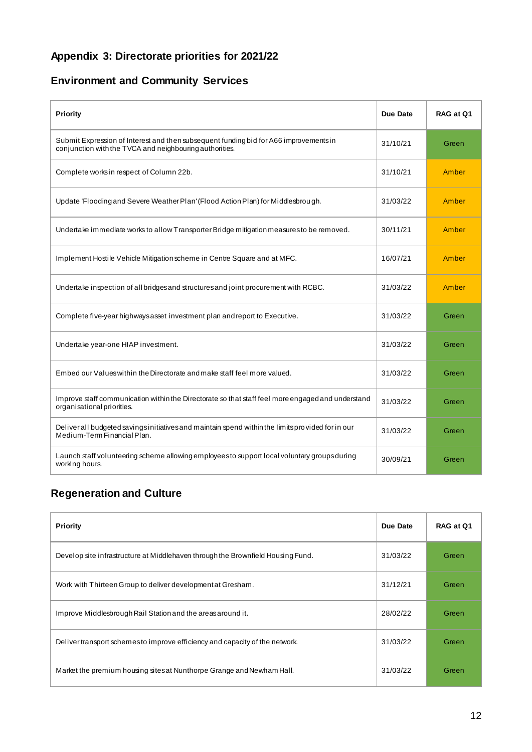## **Appendix 3: Directorate priorities for 2021/22**

## **Environment and Community Services**

| Priority                                                                                                                                         | Due Date | RAG at Q1 |
|--------------------------------------------------------------------------------------------------------------------------------------------------|----------|-----------|
| Submit Expression of Interest and then subsequent funding bid for A66 improvements in<br>conjunction with the TVCA and neighbouring authorities. | 31/10/21 | Green     |
| Complete works in respect of Column 22b.                                                                                                         | 31/10/21 | Amber     |
| Update 'Flooding and Severe Weather Plan' (Flood Action Plan) for Middlesbrough.                                                                 | 31/03/22 | Amber     |
| Undertake immediate works to allow Transporter Bridge mitigation measures to be removed.                                                         | 30/11/21 | Amber     |
| Implement Hostile Vehicle Mitigation scheme in Centre Square and at MFC.                                                                         | 16/07/21 | Amber     |
| Undertake inspection of all bridges and structures and joint procurement with RCBC.                                                              | 31/03/22 | Amber     |
| Complete five-year highways asset investment plan and report to Executive.                                                                       | 31/03/22 | Green     |
| Undertake year-one HIAP investment.                                                                                                              | 31/03/22 | Green     |
| Embed our Values within the Directorate and make staff feel more valued.                                                                         | 31/03/22 | Green     |
| Improve staff communication within the Directorate so that staff feel more engaged and understand<br>organisational priorities.                  | 31/03/22 | Green     |
| Deliver all budgeted savings initiatives and maintain spend within the limits provided for in our<br>Medium-Term Financial Plan.                 | 31/03/22 | Green     |
| Launch staff volunteering scheme allowing employees to support local voluntary groups during<br>working hours.                                   | 30/09/21 | Green     |

## **Regeneration and Culture**

| Priority                                                                        | Due Date | RAG at Q1 |
|---------------------------------------------------------------------------------|----------|-----------|
| Develop site infrastructure at Middlehaven through the Brownfield Housing Fund. | 31/03/22 | Green     |
| Work with Thirteen Group to deliver developmentat Gresham.                      | 31/12/21 | Green     |
| Improve Middlesbrough Rail Station and the areas around it.                     | 28/02/22 | Green     |
| Deliver transport schemes to improve efficiency and capacity of the network.    | 31/03/22 | Green     |
| Market the premium housing sites at Nunthorpe Grange and Newham Hall.           | 31/03/22 | Green     |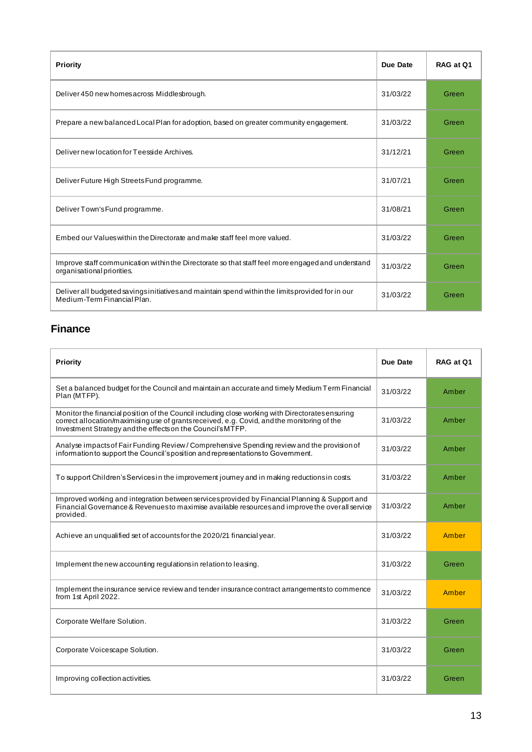| Priority                                                                                                                         | Due Date | RAG at Q1 |
|----------------------------------------------------------------------------------------------------------------------------------|----------|-----------|
| Deliver 450 new homes across Middlesbrough.                                                                                      | 31/03/22 | Green     |
| Prepare a new balanced Local Plan for adoption, based on greater community engagement.                                           | 31/03/22 | Green     |
| Delivernew location for Teesside Archives.                                                                                       | 31/12/21 | Green     |
| Deliver Future High Streets Fund programme.                                                                                      | 31/07/21 | Green     |
| Deliver Town's Fund programme.                                                                                                   | 31/08/21 | Green     |
| Embed our Values within the Directorate and make staff feel more valued.                                                         | 31/03/22 | Green     |
| Improve staff communication within the Directorate so that staff feel more engaged and understand<br>organisational priorities.  | 31/03/22 | Green     |
| Deliver all budgeted savings initiatives and maintain spend within the limits provided for in our<br>Medium-Term Financial Plan. | 31/03/22 | Green     |

## **Finance**

| <b>Priority</b>                                                                                                                                                                                                                                               | Due Date | RAG at Q1 |
|---------------------------------------------------------------------------------------------------------------------------------------------------------------------------------------------------------------------------------------------------------------|----------|-----------|
| Set a balanced budget for the Council and maintain an accurate and timely Medium Term Financial<br>Plan (MTFP).                                                                                                                                               | 31/03/22 | Amber     |
| Monitor the financial position of the Council including close working with Directorates ensuring<br>correct allocation/maximising use of grants received, e.g. Covid, and the monitoring of the<br>Investment Strategy and the effects on the Council's MTFP. | 31/03/22 | Amber     |
| Analyse impacts of Fair Funding Review / Comprehensive Spending review and the provision of<br>information to support the Council's position and representations to Government.                                                                               | 31/03/22 | Amber     |
| To support Children's Services in the improvement journey and in making reductions in costs.                                                                                                                                                                  | 31/03/22 | Amber     |
| Improved working and integration between services provided by Financial Planning & Support and<br>Financial Governance & Revenuesto maximise available resources and improve the overall service<br>provided.                                                 | 31/03/22 | Amber     |
| Achieve an unqualified set of accounts for the 2020/21 financial year.                                                                                                                                                                                        | 31/03/22 | Amber     |
| Implement the new accounting regulations in relation to leasing.                                                                                                                                                                                              | 31/03/22 | Green     |
| Implement the insurance service review and tender insurance contract arrangements to commence<br>from 1st April 2022.                                                                                                                                         | 31/03/22 | Amber     |
| Corporate Welfare Solution.                                                                                                                                                                                                                                   | 31/03/22 | Green     |
| Corporate Voicescape Solution.                                                                                                                                                                                                                                | 31/03/22 | Green     |
| Improving collection activities.                                                                                                                                                                                                                              | 31/03/22 | Green     |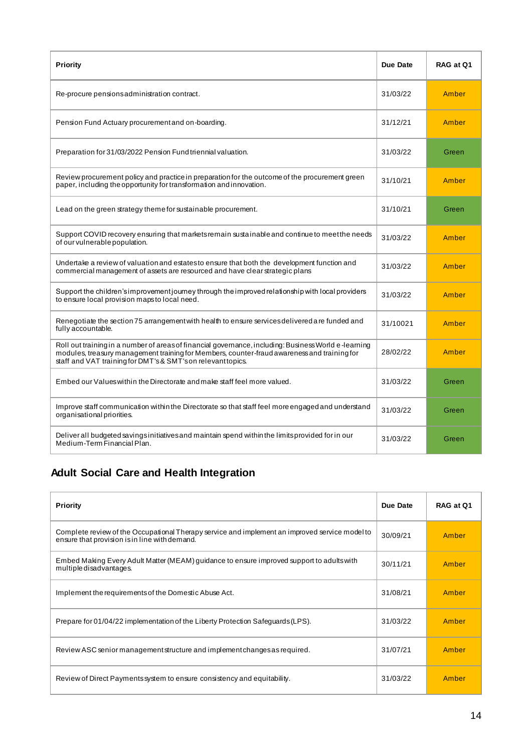| <b>Priority</b>                                                                                                                                                                                                                                                     | Due Date | RAG at Q1 |
|---------------------------------------------------------------------------------------------------------------------------------------------------------------------------------------------------------------------------------------------------------------------|----------|-----------|
| Re-procure pensions administration contract.                                                                                                                                                                                                                        | 31/03/22 | Amber     |
| Pension Fund Actuary procurement and on-boarding.                                                                                                                                                                                                                   | 31/12/21 | Amber     |
| Preparation for 31/03/2022 Pension Fund triennial valuation.                                                                                                                                                                                                        | 31/03/22 | Green     |
| Review procurement policy and practice in preparation for the outcome of the procurement green<br>paper, including the opportunity for transformation and innovation.                                                                                               | 31/10/21 | Amber     |
| Lead on the green strategy theme for sustainable procurement.                                                                                                                                                                                                       | 31/10/21 | Green     |
| Support COVID recovery ensuring that markets remain sustainable and continue to meet the needs<br>of our vulnerable population.                                                                                                                                     | 31/03/22 | Amber     |
| Undertake a review of valuation and estatesto ensure that both the development function and<br>commercial management of assets are resourced and have clear strategic plans                                                                                         | 31/03/22 | Amber     |
| Support the children's improvement journey through the improved relationship with local providers<br>to ensure local provision maps to local need.                                                                                                                  | 31/03/22 | Amber     |
| Renegotiate the section 75 arrangement with health to ensure services delivered are funded and<br>fully accountable.                                                                                                                                                | 31/10021 | Amber     |
| Roll out training in a number of areas of financial governance, including: Business World e-learning<br>modules, treasury management training for Members, counter-fraud awareness and training for<br>staff and VAT training for DMT's & SMT's on relevant topics. | 28/02/22 | Amber     |
| Embed our Values within the Directorate and make staff feel more valued.                                                                                                                                                                                            | 31/03/22 | Green     |
| Improve staff communication within the Directorate so that staff feel more engaged and understand<br>organisational priorities.                                                                                                                                     | 31/03/22 | Green     |
| Deliver all budgeted savings initiatives and maintain spend within the limits provided for in our<br>Medium-Term Financial Plan.                                                                                                                                    | 31/03/22 | Green     |

## **Adult Social Care and Health Integration**

| Priority                                                                                                                                        | Due Date | RAG at Q1 |
|-------------------------------------------------------------------------------------------------------------------------------------------------|----------|-----------|
| Complete review of the Occupational Therapy service and implement an improved service model to<br>ensure that provision is in line with demand. | 30/09/21 | Amber     |
| Embed Making Every Adult Matter (MEAM) guidance to ensure improved support to adults with<br>multiple disadvantages.                            | 30/11/21 | Amber     |
| Implement the requirements of the Domestic Abuse Act.                                                                                           | 31/08/21 | Amber     |
| Prepare for 01/04/22 implementation of the Liberty Protection Safeguards (LPS).                                                                 | 31/03/22 | Amber     |
| Review ASC senior management structure and implement changes as required.                                                                       | 31/07/21 | Amber     |
| Review of Direct Payments system to ensure consistency and equitability.                                                                        | 31/03/22 | Amber     |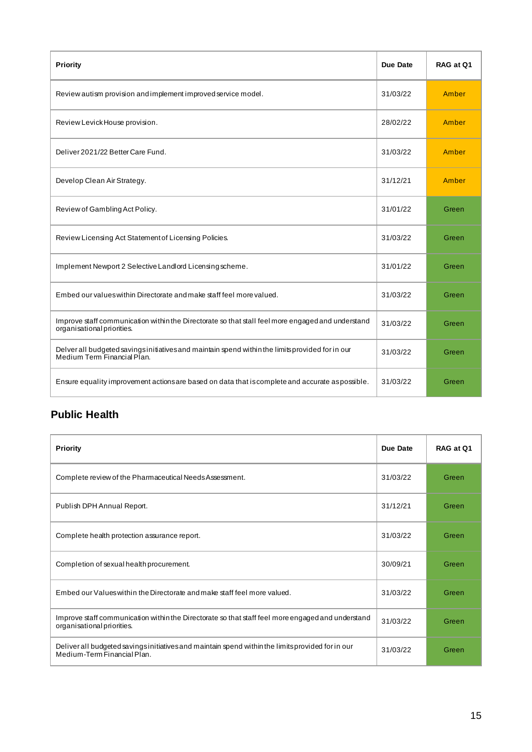| <b>Priority</b>                                                                                                                 | Due Date | RAG at Q1 |
|---------------------------------------------------------------------------------------------------------------------------------|----------|-----------|
| Review autism provision and implement improved service model.                                                                   | 31/03/22 | Amber     |
| Review Levick House provision.                                                                                                  | 28/02/22 | Amber     |
| Deliver 2021/22 Better Care Fund.                                                                                               | 31/03/22 | Amber     |
| Develop Clean Air Strategy.                                                                                                     | 31/12/21 | Amber     |
| Review of Gambling Act Policy.                                                                                                  | 31/01/22 | Green     |
| Review Licensing Act Statement of Licensing Policies.                                                                           | 31/03/22 | Green     |
| Implement Newport 2 Selective Landlord Licensing scheme.                                                                        | 31/01/22 | Green     |
| Embed our values within Directorate and make staff feel more valued.                                                            | 31/03/22 | Green     |
| Improve staff communication within the Directorate so that stall feel more engaged and understand<br>organisational priorities. | 31/03/22 | Green     |
| Delver all budgeted savings initiatives and maintain spend within the limits provided for in our<br>Medium Term Financial Plan. | 31/03/22 | Green     |
| Ensure equality improvement actions are based on data that is complete and accurate as possible.                                | 31/03/22 | Green     |

## **Public Health**

| <b>Priority</b>                                                                                                                  | Due Date | RAG at Q1 |
|----------------------------------------------------------------------------------------------------------------------------------|----------|-----------|
| Complete review of the Pharmaceutical Needs Assessment.                                                                          | 31/03/22 | Green     |
| Publish DPH Annual Report.                                                                                                       | 31/12/21 | Green     |
| Complete health protection assurance report.                                                                                     | 31/03/22 | Green     |
| Completion of sexual health procurement.                                                                                         | 30/09/21 | Green     |
| Embed our Values within the Directorate and make staff feel more valued.                                                         | 31/03/22 | Green     |
| Improve staff communication within the Directorate so that staff feel more engaged and understand<br>organisational priorities.  | 31/03/22 | Green     |
| Deliver all budgeted savings initiatives and maintain spend within the limits provided for in our<br>Medium-Term Financial Plan. | 31/03/22 | Green     |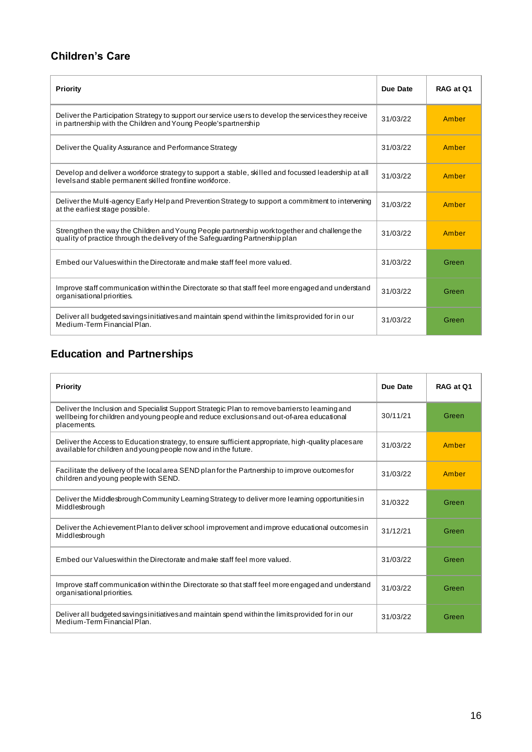## **Children's Care**

| Priority                                                                                                                                                                     | Due Date | RAG at Q1 |
|------------------------------------------------------------------------------------------------------------------------------------------------------------------------------|----------|-----------|
| Deliver the Participation Strategy to support our service users to develop the services they receive<br>in partnership with the Children and Young People's partnership      | 31/03/22 | Amber     |
| Deliver the Quality Assurance and Performance Strategy                                                                                                                       | 31/03/22 | Amber     |
| Develop and deliver a workforce strategy to support a stable, skilled and focussed leadership at all<br>levels and stable permanent skilled frontline workforce.             | 31/03/22 | Amber     |
| Deliver the Multi-agency Early Help and Prevention Strategy to support a commitment to intervening<br>at the earliest stage possible.                                        | 31/03/22 | Amber     |
| Strengthen the way the Children and Young People partnership worktogether and challenge the<br>quality of practice through the delivery of the Safeguarding Partnership plan | 31/03/22 | Amber     |
| Embed our Values within the Directorate and make staff feel more valued.                                                                                                     | 31/03/22 | Green     |
| Improve staff communication within the Directorate so that staff feel more engaged and understand<br>organisational priorities.                                              | 31/03/22 | Green     |
| Deliver all budgeted savings initiatives and maintain spend within the limits provided for in our<br>Medium-Term Financial Plan.                                             | 31/03/22 | Green     |

## **Education and Partnerships**

| <b>Priority</b>                                                                                                                                                                                            | Due Date | RAG at Q1 |
|------------------------------------------------------------------------------------------------------------------------------------------------------------------------------------------------------------|----------|-----------|
| Deliver the Inclusion and Specialist Support Strategic Plan to remove barriers to learning and<br>wellbeing for children and young people and reduce exclusions and out-of-area educational<br>placements. | 30/11/21 | Green     |
| Deliver the Access to Education strategy, to ensure sufficient appropriate, high-quality places are<br>available for children and young people now and in the future.                                      | 31/03/22 | Amber     |
| Facilitate the delivery of the local area SEND plan for the Partnership to improve outcomes for<br>children and young people with SEND.                                                                    | 31/03/22 | Amber     |
| Deliver the Middlesbrough Community Learning Strategy to deliver more learning opportunities in<br>Middlesbrough                                                                                           | 31/0322  | Green     |
| Deliver the Achievement Planto deliver school improvement and improve educational outcomes in<br>Middlesbrough                                                                                             | 31/12/21 | Green     |
| Embed our Values within the Directorate and make staff feel more valued.                                                                                                                                   | 31/03/22 | Green     |
| Improve staff communication within the Directorate so that staff feel more engaged and understand<br>organisational priorities.                                                                            | 31/03/22 | Green     |
| Deliver all budgeted savings initiatives and maintain spend within the limits provided for in our<br>Medium-Term Financial Plan.                                                                           | 31/03/22 | Green     |